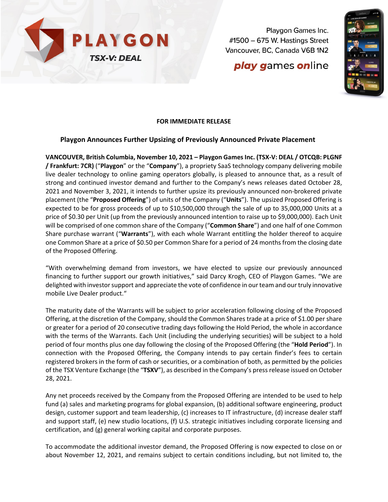

Playgon Games Inc. #1500 - 675 W. Hastings Street Vancouver, BC, Canada V6B 1N2

# **play games online**



## **FOR IMMEDIATE RELEASE**

### **Playgon Announces Further Upsizing of Previously Announced Private Placement**

**VANCOUVER, British Columbia, November 10, 2021 – Playgon Games Inc. (TSX-V: DEAL / OTCQB: PLGNF / Frankfurt: 7CR)** ("**Playgon**" or the "**Company**"), a propriety SaaS technology company delivering mobile live dealer technology to online gaming operators globally, is pleased to announce that, as a result of strong and continued investor demand and further to the Company's news releases dated October 28, 2021 and November 3, 2021, it intends to further upsize its previously announced non-brokered private placement (the "**Proposed Offering**") of units of the Company ("**Units**"). The upsized Proposed Offering is expected to be for gross proceeds of up to \$10,500,000 through the sale of up to 35,000,000 Units at a price of \$0.30 per Unit (up from the previously announced intention to raise up to \$9,000,000). Each Unit will be comprised of one common share of the Company ("**Common Share**") and one half of one Common Share purchase warrant ("**Warrants**"), with each whole Warrant entitling the holder thereof to acquire one Common Share at a price of \$0.50 per Common Share for a period of 24 months from the closing date of the Proposed Offering.

"With overwhelming demand from investors, we have elected to upsize our previously announced financing to further support our growth initiatives," said Darcy Krogh, CEO of Playgon Games. "We are delighted with investor support and appreciate the vote of confidence in our team and our truly innovative mobile Live Dealer product."

The maturity date of the Warrants will be subject to prior acceleration following closing of the Proposed Offering, at the discretion of the Company, should the Common Shares trade at a price of \$1.00 per share or greater for a period of 20 consecutive trading days following the Hold Period, the whole in accordance with the terms of the Warrants. Each Unit (including the underlying securities) will be subject to a hold period of four months plus one day following the closing of the Proposed Offering (the "**Hold Period**"). In connection with the Proposed Offering, the Company intends to pay certain finder's fees to certain registered brokers in the form of cash or securities, or a combination of both, as permitted by the policies of the TSX Venture Exchange (the "**TSXV**"), as described in the Company's press release issued on October 28, 2021.

Any net proceeds received by the Company from the Proposed Offering are intended to be used to help fund (a) sales and marketing programs for global expansion, (b) additional software engineering, product design, customer support and team leadership, (c) increases to IT infrastructure, (d) increase dealer staff and support staff, (e) new studio locations, (f) U.S. strategic initiatives including corporate licensing and certification, and (g) general working capital and corporate purposes.

To accommodate the additional investor demand, the Proposed Offering is now expected to close on or about November 12, 2021, and remains subject to certain conditions including, but not limited to, the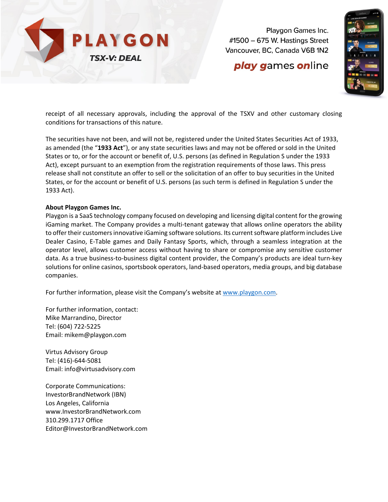

Playgon Games Inc.  $\#1500 - 675$  W. Hastings Street Vancouver, BC, Canada V6B 1N2

## **play games online**



receipt of all necessary approvals, including the approval of the TSXV and other customary closing conditions for transactions of this nature.

The securities have not been, and will not be, registered under the United States Securities Act of 1933, as amended (the "**1933 Act**"), or any state securities laws and may not be offered or sold in the United States or to, or for the account or benefit of, U.S. persons (as defined in Regulation S under the 1933 Act), except pursuant to an exemption from the registration requirements of those laws. This press release shall not constitute an offer to sell or the solicitation of an offer to buy securities in the United States, or for the account or benefit of U.S. persons (as such term is defined in Regulation S under the 1933 Act).

#### **About Playgon Games Inc.**

Playgon is a SaaS technology company focused on developing and licensing digital content for the growing iGaming market. The Company provides a multi-tenant gateway that allows online operators the ability to offer their customers innovative iGaming software solutions. Its current software platform includes Live Dealer Casino, E-Table games and Daily Fantasy Sports, which, through a seamless integration at the operator level, allows customer access without having to share or compromise any sensitive customer data. As a true business-to-business digital content provider, the Company's products are ideal turn-key solutions for online casinos, sportsbook operators, land-based operators, media groups, and big database companies.

For further information, please visit the Company's website at [www.playgon.com.](http://www.playgon.com/)

For further information, contact: Mike Marrandino, Director Tel: (604) 722-5225 Email: mikem@playgon.com

Virtus Advisory Group Tel: (416)-644-5081 Email: info@virtusadvisory.com

Corporate Communications: InvestorBrandNetwork (IBN) Los Angeles, California www.InvestorBrandNetwork.com 310.299.1717 Office Editor@InvestorBrandNetwork.com